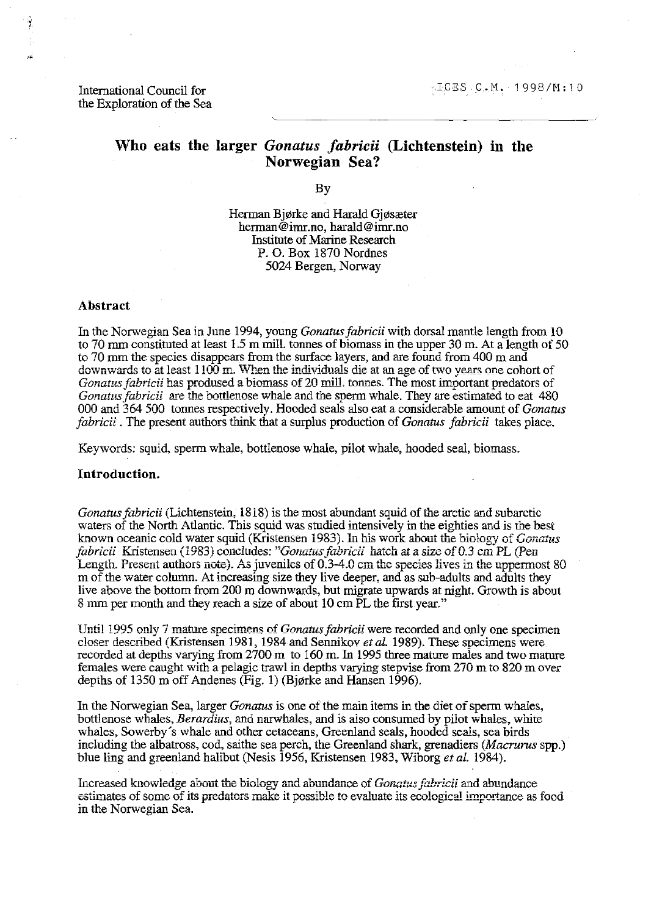International Council for the Exploration of the Sea

# **Who eats the larger** *Gonatus Jabricii* **(Lichtenstein) in the Norwegian Sea?**

By

Herman Bjørke and Harald Gjøsæter herman@imr.no, harald@imr.no Institute of Marine Research P. O. Box 1870 Nordnes 5024 Bergen, Norway

#### **Abstract**

; ,

> In the Norwegian Sea in June 1994, young *Gonatus fabricii* with dorsal mantle length from 10 to 70 mm constituted at least 1.5 m mill. tonnes of biomass in the upper 30 m. At a length of 50 to 70 mm the species disappears from the surface layers, and are found from 400 m and downwards to at least 1100 m. When the individuals die at an age of two years one cohort of *Gonatus fabricii has prodused a biomass of 20 mill. tonnes. The most important predators of Gonatus fabricii* are the bottlenose whale and the sperm whale. They are estimated to eat 480 000 and 364 500 tounes respectively. Hooded seals also eat a considerable amount of *Gonatus Jabricii* . The present authors think that a surplus production of *Gonatus Jabricii* takes place.

Keywords: squid, sperm whale, bottlenose whale, pilot whale, hooded seal, biomass.

## **Introduction.**

*Gonatusfabricii* (Lichtenstein, 1818) is the most abundant squid of the arctic and subarctic waters of the North Atlantic. This squid was studied intensively in the eighties and is the best **known oceanic cold water squid (Kristensen 1983). In his work about u'1e biology of** *Gonatus fabricii* **Kristensen (1983) concludes:** *"Gonatusfabricii* **hatch at a size** of *0.3* **cm PL (Pen**  Length. Present authors note). As juveniles of 0.3-4.0 cm the species lives in the uppermost 80 m of the water column. At increasing size they live deeper, and as sub-adults and adults they live above the bottom from 200 m downwards, but migrate upwards at night. Growth is about 8 mm per month and they reach a size of about 10 cm PL the first year."

Until 1995 only 7 mature specimens of *Gonatus fabricii* were recorded and only one specimen closer described (Kristensen 1981, 1984 and Sennikov *etal.* 1989). These specimens were recorded at depths varying from 2700 m to 160 m. In 1995 three mature males and two mature females were caught with a pelagic trawl in depths varying stepvise from 270 m to 820 m over depths of 1350 m off Andenes (Fig. 1) (Bjørke and Hansen 1996).

In the Norwegian Sea, larger *Gonatus* is one of the main items in the diet of sperm whales, bottlenose whales, *Berardius,* and narwhales, and is also consumed by pilot whales, white whales, Sowerby's whale and other cetaceans, Greenland seals, hooded seals, sea birds including the albatross, cod, saithe sea perch, the Greenland shark, grenadiers *(Macrurus* spp.) blue ling and greenland halibut (Nesis 1956, Kristensen 1983, Wiborg *et at. 1984).* 

Increased knowledge about the biology and abundance of *Gonatus fabricii* and abundance estimates of some of its predators make it possible to evaluate its ecological importance as food in the Norwegian Sea.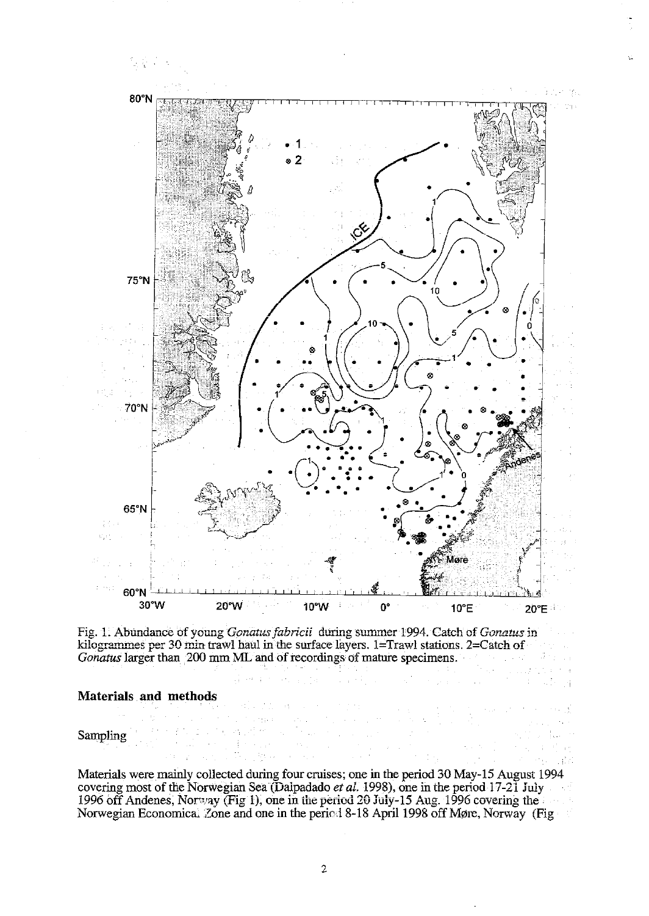

Fig. 1. Abundance of young *Gonatus fabricii* during summer 1994. Catch of *Gonatus* in kilogrammes per 30 min trawl haul in the surface layers. 1=Trawl stations. 2=Catch of *Gonatus* larger than 200 mm ML and of recordings of mature specimens,

e Provincia de

 $\sim$   $\alpha_{\rm T}$ 

Lingual.

 $\epsilon_{\rm{max}}$ 왕다  $\mathbf{r}=\mathbf{r}+\mathbf{q}$ 

医异形的

de sit

一本

## **Materials and methods**

Sampling

Materials were mainly collected during four cruises; one in the period 30 May-IS August 1994 covering most of the Norwegian Sea (Dalpadado *et aL* 1998), one in the period 17-21 july 1996 off Andenes, Norway (Fig 1), one in the period 20 July-15 Aug. 1996 covering the Norwegian Economica. Zone and one in the period 8-18 April 1998 off Møre, Norway (Fig

 $\label{eq:2.1} \frac{1}{2} \mathcal{M}_{\rm eff} \left( \frac{1}{2} \right) = \frac{1}{2} \left[ \frac{1}{2} \left( \frac{1}{2} \right) \left( \frac{1}{2} \right) \left( \frac{1}{2} \right) \right] \left( \frac{1}{2} \right)$ 

than the prop-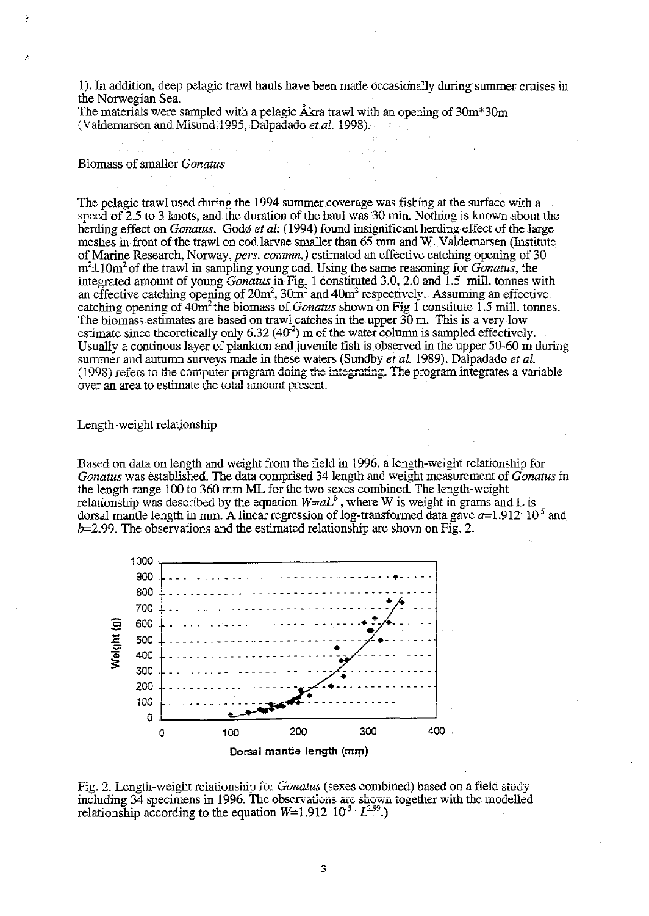I). In addition, deep pelagic trawl hauls have been made occasionally during summer cruises in the Norwegian Sea.

The materials were sampled with a pelagic Akra trawl with an opening of 3Om\*30m (Valdemarsen and Misund, 1995, Dalpadado *et al.* 1998).

## Biomass of smaller *Gonatus*

The pelagic trawl used during the 1994 summer coverage was fishing at the surface with a speed of 2.5 to 3 knots, and the duration of the haul was 30 min. Nothing is known about the herding effect on *Gonatus.* Godø et al. (1994) found insignificant herding effect of the large meshes in front of the trawl on cod larvae smaller than  $65$  mm and W. Valdemarsen (Institute of Marine Research, Norway, *pers. comnm.)* estimated an effective catching opening of 30 m'±l Om2 of the trawl in sampling young cod. Using the same reasoning for *Gonatus,* the integrated amount of young *Gonatus* in Fig. 1 constituted 3.0, 2.0 and 1.5 mill. tonnes with an effective catching opening of  $20m^2$ ,  $30m^2$  and  $40m^2$  respectively. Assuming an effective catching opening of  $40m^2$  the biomass of *Gonatus* shown on Fig 1 constitute 1.5 mill. tonnes. The biomass estimates are based on trawl catches in the upper  $30$  m. This is a very low estimate since theoretically only  $6.32 \, (40^2)$  m of the water column is sampled effectively. Usually a continous layer of plankton and juvenile fish is observed in the upper 50-60 m during summer and autumn surveys made in these waters (Sundby *et al.* 1989). Dalpadado *et al.* (1998) refers to the computer program doing the integrating. The program integrates a variable over an area to estimate the total amount present.

## Length-weight relationship

Based on data on length and weight from the field in 1996, a length-weight relationship for *Gonatus* was established. The data comprised 34 length and weight measurement of *Gonatus* in the length range 100 to 360 mm ML for the two sexes combined: The length-weight relationship was described by the equation  $W=aL^b$ , where W is weight in grams and L is dorsal mantle length in mm. A linear regression of log-transformed data gave  $a=1.912 \cdot 10^{-5}$  and *b=2\_99\_* The observations and the estimated relationship are shovn on Fig. 2\_



Fig. 2. Length-weight relationship for *Gonatus* (sexes combined) based on a field study including 34 specimens in 1996. The observations are shown together with the modelled relationship according to the equation  $W=1.912 \cdot 10^{-5} \cdot L^{2.99}$ .)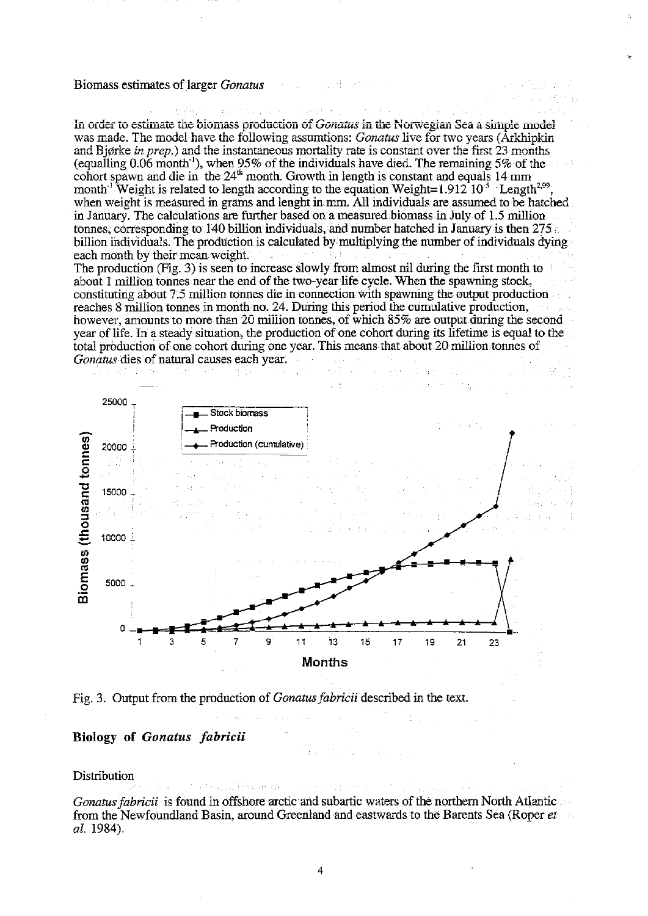### Biomass estimates of larger *Gonatus*

In order to estimate the biomass production of *Gonatus* in the Norwegian Sea a simple model was made. The model have the following assumtions: *Gonatus* live for two years (Arkhipkin and Bjørke in prep.) and the instantaneous mortality rate is constant over the first  $23$  months (equalling  $0.06$  month<sup>-1</sup>), when 95% of the individuals have died. The remaining 5% of the cohort spawn and die in the  $24<sup>th</sup>$  month. Growth in length is constant and equals 14 mm month<sup>-1</sup> Weight is related to length according to the equation Weight=1.912<sup>-10-5</sup> Length<sup>2,99</sup> when weight is measured in grams and lenght in mm. All individuals are assumed to be hatched in January. The calculations are further based on a measured biomass in July of 1.5 million tonnes, corresponding to 140 billion individuals, and number hatched in January is then 275 billion individuals. The production is calculated by multiplying the number of individuals dying each month by their mean weight.

The production (Fig. 3) is seen to increase slowly from almost nil during the first month to about 1 million tonnes near the end of the two-year life cycle. When the spawning stock, constituting about 7.5 million tonnes die in connection with spawning the output production reaches 8 million tonnes in month no. 24. During this period the cumulative production, however, amounts to more than 20 million tonnes, of which 85% are output during the second year of life. In a steady situation, the production of one cohort during its lifetime is equal to the total production of one cohort during one year. This means that about 20 million tonnes of *Gonatus* dies of natural causes each year.



Fig. 3. Output from the production of *Gonatus fabricii* described in the text.

fiscar de l

## Biology of Gonatus fabricii

Distribution

Gonatus fabricii is found in offshore arctic and subartic waters of the northern North Atlantic from the Newfoundland Basin, around Greenland and eastwards to the Barents Sea (Roper et al. 1984).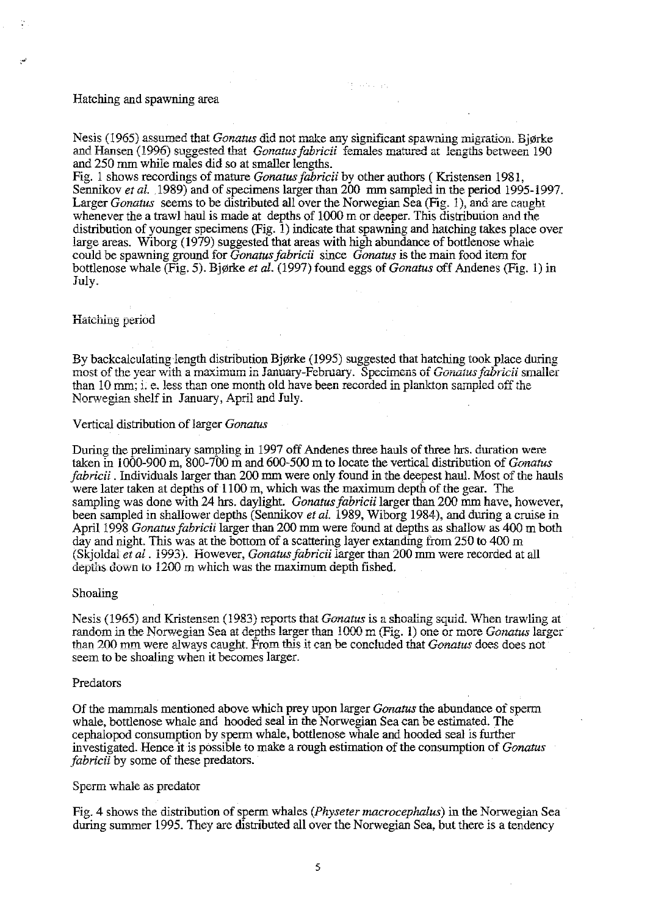## Hatching and spawning area

**Nesis (1965) assumed that** *Gonatus* **did not make any significant spawning migration. Bjørke** and Hansen (1996) suggested that *Gonatus fabricii* females matured at lengths between 190 and 250 mm while males did so at smaller lengths.

Monten and

Fig. 1 shows recordings of mature *Gonatus fabricii* by other authors ( Kristensen 1981, Sennikov *et al.* 1989) and of specimens larger than 200 mm sampled in the period 1995-1997. Larger *Gonatus* seems to be distributed all over the Norwegian Sea (Fig. 1), and are caught whenever the a trawl haul is made at depths of 1000 m or deeper. This distribution and the distribution of younger specimens (Fig. 1) indicate that spawning and hatching takes place over large areas. Wiborg (1979) suggested that areas with high abundance of bottlenose whale could be spawning ground for *Gonatus fabricii* since *Gonatus* is the main food item for bottlenose whale (Fig. 5). Bjørke *et al.* (1997) found eggs of *Gonatus* off Andenes (Fig. 1) in July.

## **Hatching period**

By backcalculating length distribution Bjørke (1995) suggested that hatching took place during most of the year with a maximum in January-February. Specimens of *Gonatus fabricii* smaller **than 10 mm; i. e. less than one month old have been recorded in plankton sampled off the** Norwegian shelf in **January**, April and July.

#### Vertical distribution oflarger *Gonatus*

During the preliminary sampling in 1997 off Andenes three hauls of three hrs. duration were taken in 1000-900 m, 800-700 m and 600-500 m to locate the vertical distribution of *Gonatus fabricii* . Individuals larger than 200 mm were only found in the deepest haul. Most of the hauls were later taken at depths of 1100 m, which was the maximum depth of the gear. The sampling was done with 24 hrs. daylight. *Gonatus fabricii* larger than 200 mm have, however, been sampled in shallower depths (Sennikov *et al.* 1989, Wiborg 1984), and during a cruise in April 1998 *Gonatus fabricii* larger than 200 mm were found at depths as shallow as 400 m both day and night. This was at the bottom of a scattering layer extanding from 250 to 400 m (Skjoldal *et al.* 1993). However, *Gonatus fabricii* larger than 200 mm were recorded at all depths down to 1200 m which was the maximum depth fished.

## Shoaling

**Nesis (1965) and Kristensen (1983) reports that** *Gonatus* **is a shoaling squid. When trawling at random in the Norwegian Sea at depths larger than 1000 m (Fig. 1) one or more** *Gonatus* **larger than 200 mm were always caught. From this it can be concluded that** *Gonatus* **does does not** seem to be shoaling when it becomes larger.

#### Predators

Of the mammals mentioned above which prey upon larger *Gonatus* the abundance of sperm whale, bottlenose whale and hooded seal in the Norwegian Sea can be estimated. The cephalopod consumption by sperm whale, bottlenose whale and hooded seal is further investigated. Hence it is possible to make a rough estimation of the consumption of *Gonatus fabricii* by some of these predators.

## **Sperm whale as predator**

Fig. 4 shows the distribution of sperm whales *(Physeter macrocephalus)* in the Norwegian Sea during summer 1995. They are distributed all over the Norwegian Sea, but there is a tendency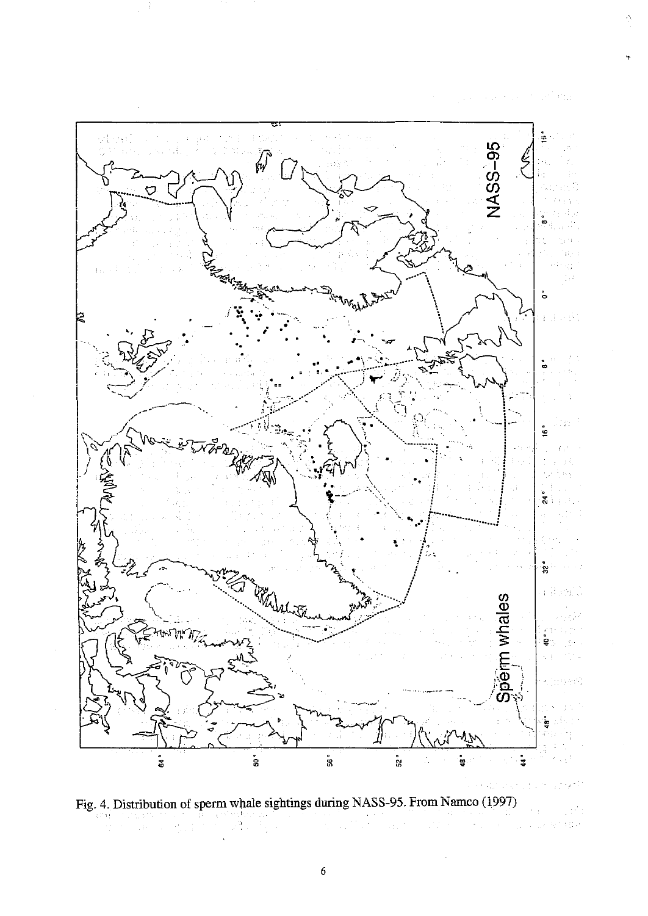

 $\sum_{i=1}^{n}$ 



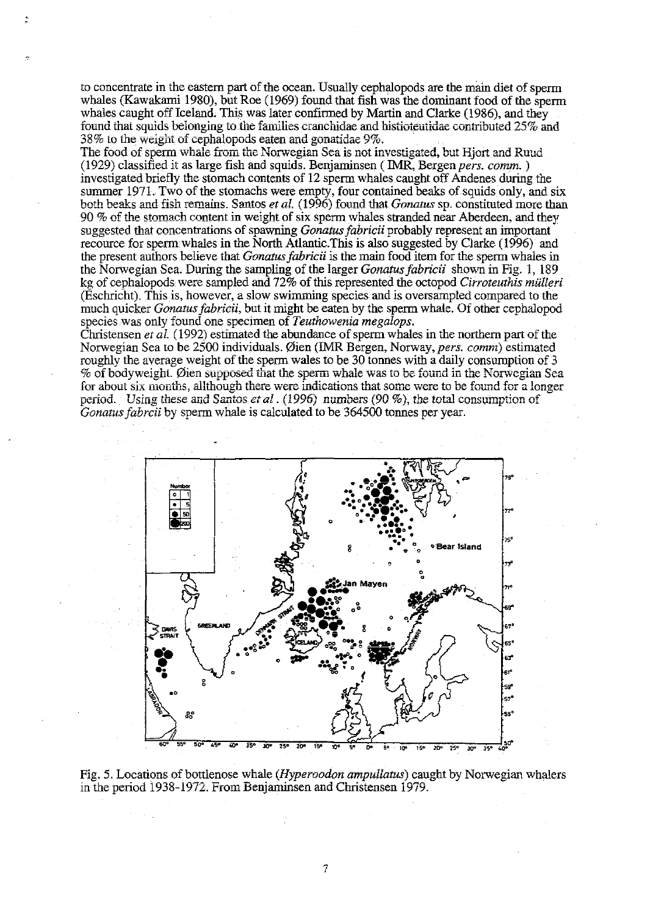to concentrate in the eastern part of the ocean. Usually cephalopods are the mam diet of sperm whales (Kawakami 1980), but Roe (1969) found that fish was the dominant food of the sperm whales caught off Iceland. This was later confirmed by Martin and Clarke (1986), and they found that squids belonging to the families cranchidae and histioteutidae contributed 25% and **38% to the weight of cephalopods eaten and gonatidae 9%.** 

The food of sperm whale from the Norwegian Sea is not investigated, but Hjort and Ruud (1929) classified it as large fish and squids. Benjarninsen ( IMR, Bergen *pers. comm. )*  investigated briefly the stomach contents of 12 sperm whales caught off Andenes during the summer 1971. Two of the stomachs were empty, four contained beaks of squids only, and six both beaks and fish remains. Santos *et al.* (1996) found that *Gonatus* sp. constituted more than  $90\%$  of the stomach content in weight of six sperm whales stranded near Aberdeen, and they suggested that concentrations of spawning *Gonatus fabricii* probably represent an important recource for sperm whales in the North Atlantic. This is also suggested by Clarke (1996) and the present authors believe that *Gonatus fabricii* is the main food item for the sperm Whales in the Norwegian Sea. During the sampling of the larger *Gonatusjabricii* shown in Fig. 1, 189 kg of cephalopods were sampled and 72% of this represented the octopod *Cirroteuthis mulleri*  (Eschricht). This is, however, a slow swimming species and is oversampled compared to the much quicker *Gonatus fabricii,* but it might be eaten by the sperm whale. Of other cephalopod species was only found one specimen of *Teuthowenia megalops*.

Christensen *et al.* (1992) estimated the abundance of sperm whales in the northern part of the Norwegian Sea to be 2500 individuals. 0ien (IMR Bergen, Norway, *pers. comm)* estimated roughly the average weight of the sperm wales to be 30 tonnes with a daily consumption of 3 % of bodyweight. Øien supposed that the sperm whale was to be found in the Norwegian Sea for about six months, allthough there were indications that some were to be found for a longer period. Using these and Santos et al. (1996) numbers (90 %), the total consumption of *Gonatus fabrcii* by sperm whale is calculated to be 364500 tonnes per year .



Fig. 5. Locations of bottlenose whale *(Hyperoodon ampullatus)* caught by Norwegian whalers in the period 1938-1972. From Benjaminsen and Christensen 1979.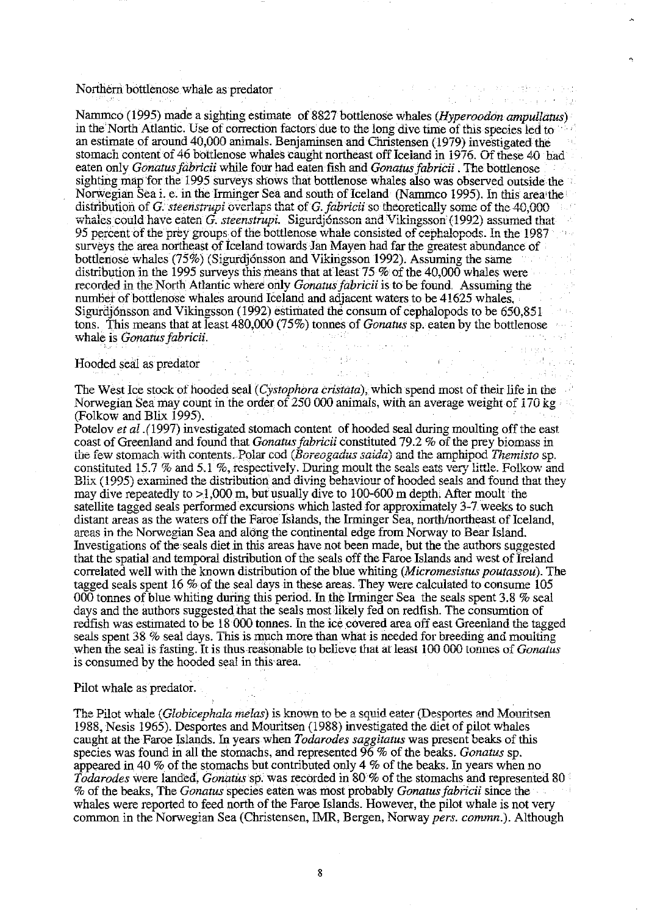#### Northern bottlenose whale as predator

Nammeo (1995) made a sighting estimate of 8827 bottlenose whales (*Hyperoodon ampullatus*) in the North Atlantic. Use of correction factors due to the long dive time of this species led to an estimate of around 40,000 animals. Benjaminsen and Christensen (1979) investigated the stomach content of 46 bottlenose whales caught northeast off Iceland in 1976. Of these 40 had eaten only Gonatus fabricii while four had eaten fish and Gonatus fabricii. The bottlenose sighting map for the 1995 surveys shows that bottlenose whales also was observed outside the Norwegian Sea i. e. in the Irminger Sea and south of Iceland (Nammco 1995). In this area the distribution of G. steenstrupi overlaps that of G. fabricii so theoretically some of the 40,000 whales could have eaten G. steenstrupi. Sigurdjónsson and Vikingsson (1992) assumed that 95 percent of the prey groups of the bottlenose whale consisted of cephalopods. In the 1987 surveys the area northeast of Iceland towards Jan Mayen had far the greatest abundance of bottlenose whales (75%) (Sigurdjónsson and Vikingsson 1992). Assuming the same distribution in the 1995 surveys this means that at least 75 % of the 40,000 whales were recorded in the North Atlantic where only *Gonatus fabricii* is to be found. Assuming the number of bottlenose whales around Iceland and adjacent waters to be 41625 whales, Sigurdjónsson and Vikingsson (1992) estimated the consum of cephalopods to be 650.851 tons. This means that at least  $480,000$  (75%) tonnes of *Gonatus* sp. eaten by the bottlenose whale is *Gonatus fabricii*. Write is *Gondus jabricu*.<br>Hooded seal as predator

 $\label{eq:2} \frac{1}{2} \frac{1}{2} \frac{1}{2} \frac{1}{2} \frac{1}{2} \frac{1}{2} \frac{1}{2} \frac{1}{2} \frac{1}{2} \frac{1}{2} \frac{1}{2} \frac{1}{2} \frac{1}{2} \frac{1}{2} \frac{1}{2} \frac{1}{2} \frac{1}{2} \frac{1}{2} \frac{1}{2} \frac{1}{2} \frac{1}{2} \frac{1}{2} \frac{1}{2} \frac{1}{2} \frac{1}{2} \frac{1}{2} \frac{1}{2} \frac{1}{2} \frac{1}{2} \frac{1}{2} \frac{$ 

The Control of the Constitution and

The West Ice stock of hooded seal (Cystophora cristata), which spend most of their life in the Norwegian Sea may count in the order of 250 000 animals, with an average weight of 170 kg (Folkow and Blix 1995).

Potelov et al. (1997) investigated stomach content of hooded seal during moulting off the east coast of Greenland and found that Gonatus fabricii constituted 79.2 % of the prey biomass in the few stomach with contents. Polar cod (Boreogadus saida) and the amphipod Themisto sp. constituted 15.7 % and 5.1 %, respectively. During moult the seals eats very little. Folkow and Blix (1995) examined the distribution and diving behaviour of hooded seals and found that they may dive repeatedly to  $>1,000$  m, but usually dive to 100-600 m depth. After moult the satellite tagged seals performed excursions which lasted for approximately 3-7 weeks to such distant areas as the waters off the Faroe Islands, the Irminger Sea, north/northeast of Iceland, areas in the Norwegian Sea and along the continental edge from Norway to Bear Island. Investigations of the seals diet in this areas have not been made, but the the authors suggested that the spatial and temporal distribution of the seals off the Faroe Islands and west of Ireland correlated well with the known distribution of the blue whiting (Micromesistus poutassou). The tagged seals spent 16 % of the seal days in these areas. They were calculated to consume 105 000 tonnes of blue whiting during this period. In the Irminger Sea the seals spent 3.8  $\%$  seal days and the authors suggested that the seals most likely fed on redfish. The consumtion of redfish was estimated to be 18 000 tonnes. In the ice covered area off east Greenland the tagged seals spent 38 % seal days. This is much more than what is needed for breeding and moulting when the seal is fasting. It is thus reasonable to believe that at least 100 000 tonnes of *Gonatus* is consumed by the hooded seal in this area.

#### Pilot whale as predator.

The Pilot whale (*Globicephala melas*) is known to be a squid eater (Desportes and Mouritsen 1988, Nesis 1965). Desportes and Mouritsen (1988) investigated the diet of pilot whales caught at the Faroe Islands. In years when *Todarodes saggitatus* was present beaks of this species was found in all the stomachs, and represented 96 % of the beaks. Gonatus sp. appeared in 40  $\%$  of the stomachs but contributed only 4  $\%$  of the beaks. In years when no Todarodes were landed, Gonatus sp. was recorded in 80 % of the stomachs and represented 80 % of the beaks, The Gonatus species eaten was most probably Gonatus fabricii since the whales were reported to feed north of the Faroe Islands. However, the pilot whale is not very common in the Norwegian Sea (Christensen, IMR, Bergen, Norway pers. commn.). Although

 $\mathcal{O}(\mathcal{F})$  , and  $\mathcal{O}(\mathcal{F})$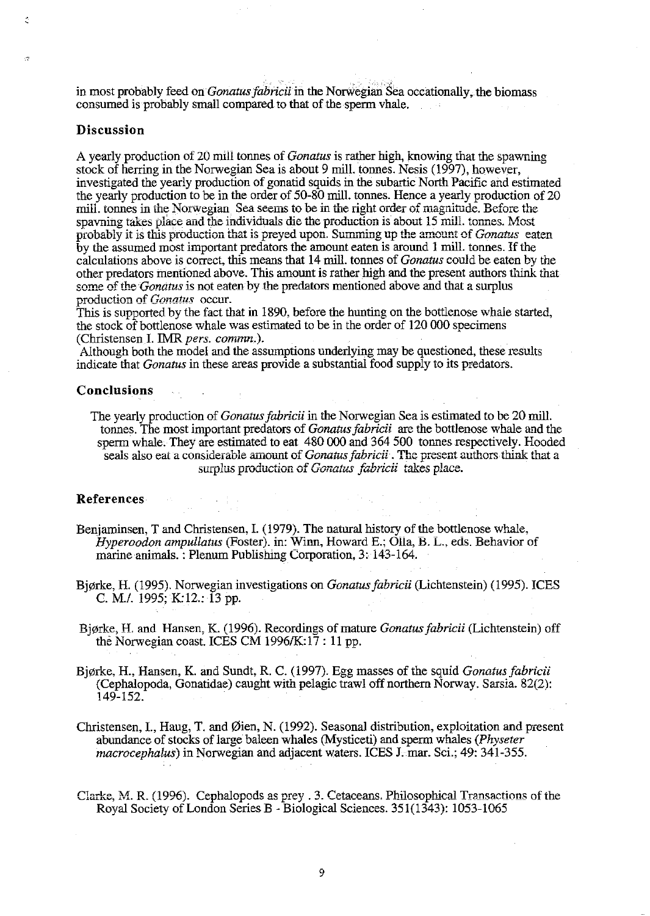in most probably feed on *Gonatus fabricii* in the Norwegian Sea occationally, the biomass consumed is probably small compared to that of the sperm vhale.

### Discussion

A yearly production of 20 mill tonnes of *Gonatus* is rather high, knowing that the spawning stock of herring in the Norwegian Sea is about 9 mill. tonnes. Nesis (1997), however, investigated the yearly production of gonatid squids in the subartic North Pacific and estimated the yearly production to be in the order of 50-80 mill, tonnes. Hence a yearly production of 20 mill, tonnes in the Norwegian. Sea seems to be in the right order of magnitude. Before the spayning takes place and the individuals die the production is about 15 mill. tonnes. Most probably it is this production that is preyed upon. Summing up the amount of Gonatus eaten by the assumed most important predators the amount eaten is around 1 mill. tonnes. If the calculations above is correct, this means that 14 mill, tonnes of *Gonatus* could be eaten by the other predators mentioned above. This amount is rather high and the present authors think that some of the *Gonatus* is not eaten by the predators mentioned above and that a surplus production of Gonatus occur.

This is supported by the fact that in 1890, before the hunting on the bottlenose whale started, the stock of bottlenose whale was estimated to be in the order of 120 000 specimens (Christensen I. IMR pers. commn.).

Although both the model and the assumptions underlying may be questioned, these results indicate that *Gonatus* in these areas provide a substantial food supply to its predators.

#### Conclusions

The yearly production of *Gonatus fabricii* in the Norwegian Sea is estimated to be 20 mill. tonnes. The most important predators of *Gonatus fabricii* are the bottlenose whale and the sperm whale. They are estimated to eat 480 000 and 364 500 tonnes respectively. Hooded seals also eat a considerable amount of *Gonatus fabricii*. The present authors think that a surplus production of *Gonatus fabricii* takes place.

#### References

- Benjaminsen, T and Christensen, I. (1979). The natural history of the bottlenose whale, *Hyperoodon ampullatus* (Foster), in: Winn, Howard E.; Olla, B. L., eds. Behavior of marine animals.: Plenum Publishing Corporation, 3: 143-164.
- Bjørke, H. (1995). Norwegian investigations on Gonatus fabricii (Lichtenstein) (1995). ICES C. M./. 1995; K:12.: 13 pp.
- Bjørke, H. and Hansen, K. (1996). Recordings of mature *Gonatus fabricii* (Lichtenstein) off the Norwegian coast. ICES CM 1996/K:17: 11 pp.
- Bjørke, H., Hansen, K. and Sundt, R. C. (1997). Egg masses of the squid Gonatus fabricii (Cephalopoda, Gonatidae) caught with pelagic trawl off northern Norway. Sarsia. 82(2): 149-152.
- Christensen, I., Haug, T. and Øien, N. (1992). Seasonal distribution, exploitation and present abundance of stocks of large baleen whales (Mysticeti) and sperm whales (Physeter *macrocephalus*) in Norwegian and adjacent waters. ICES J. mar. Sci.; 49: 341-355.
- Clarke, M. R. (1996). Cephalopods as prey . 3. Cetaceans. Philosophical Transactions of the Royal Society of London Series B - Biological Sciences. 351(1343): 1053-1065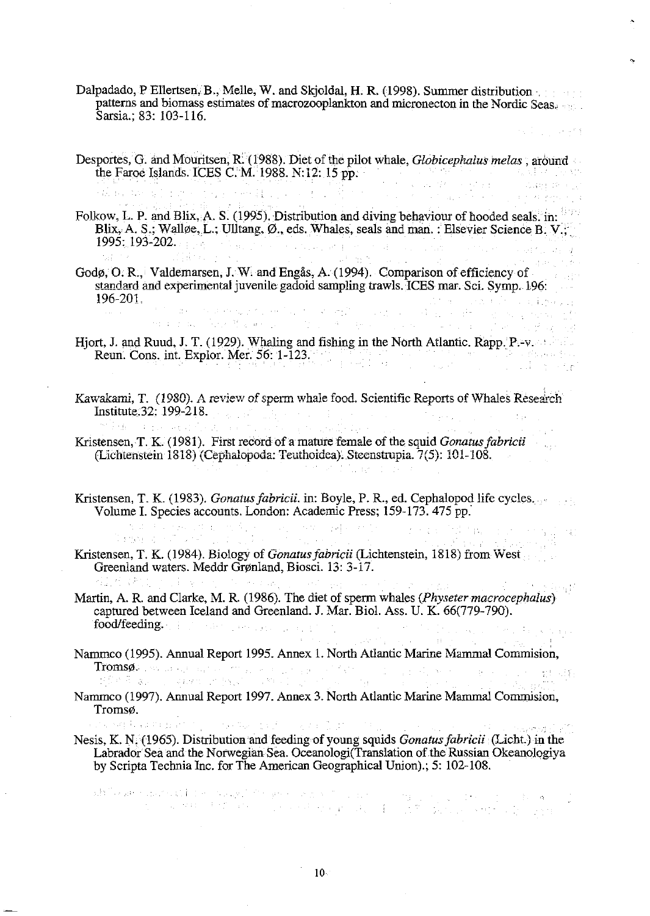- Dalpadado, P Ellertsen, B., Melle, W. and Skjoldal, H. R. (1998). Summer distribution· patterns and biomass estimates of macrozooplankton and micronecton in the Nordic Seas. Sarsia.; 83: 103-116.
- Desportes, G. and Mouritsen, R. (1988). Diet of the pilot whale, *Globicephalus melas* , around the Faroe Islands. ICES C. M. 1988. N:12:  $15$  pp.  $\frac{1}{2}$  is the contract of the contract of the contract of the contract of the contract of the contract of the contract of the contract of the contract of the contract

Folkow, L. P. and Blix, A. S. (1995). Distribution and diving behaviour of hooded seals. in: Blix, A. S.; Walløe, L.; Ulltang, Ø., eds. Whales, seals and man. : Elsevier Science B. V.; 1995: 193-202. .

Sunday of Sunday Re

- Godø, O. R., Valdemarsen, J. W. and Engås, A. (1994). Comparison of efficiency of standard and experimental juvenile gadoid sampling trawls. ICES mar. Sci. Symp. 196: 196-201.<br>1964: The constitution of the constitution of the constitution of the constitution of the constitution of the<br>1965: The constitution of the constitution of the constitution of the constitution of the constitution
- Hjort, J. and Ruud, J. T. (1929). Whaling and fishing in the North Atlantic. Rapp. P.-v. Reun. Cons. int. Explor. Mer. 56: 1-123.
- Kawakami, T. (1980). A review of sperm whale food. Scientific Reports of Whales Research Institute 32: 199-218.<br>Kristensen, T. K. (1981). First record of a mature female of the squid *Gonatus fabricii*
- **(Lichtenstein 1818) (Cephalopoda: Teuthoidea). Steenstrupia. 7(5): 101-108.**
- Kristensen, T. K. (1983). *Gonatus fabricii.* in: Boyle, P. R., ed. Cephalopod life cycles.

Volume I. Species accounts. London: Academic Press; 159-173. 475 pp.<br>
Subsequence of the contract of the contract of the contract of the contract of the contract of the contract of the contract of the contract of the contr Kristensen, T. K. (1984). Biology of *Gonatusjabricii* (Lichtenstein, 1818) from West Greenland waters. Meddr Grønland, Biosci. 13: 3-17.

 $\sigma$  and  $\sigma_{\rm eff}$ 

ar Se

- Martin, A. R. and Clarke, M. R. (1986). The diet of sperm whales *(Physeter macrocephalus)* captured between Iceland and Greenland. J. Mar. Biol. Ass. U. K. 66(779-790). food/feeding ..
- Nammco (1995). Annual Report 1995. Annex 1. North Atlantic Marine Mammal Commision, Tromsøder skriver en en formen er en men en forskellige i den en sterke skriver en en sterke for de forskellige forskellige i den forskellige sterke forskellige forskellige sterke forskellige forskellige forskellige forske  $\gamma=\chi(\gamma) \langle \xi \xi \rangle$
- Nammco (1997). Annual Report 1997. Annex 3. North Atlantic Marine Mammal Commision, Tromsø.

on king Polanda Banti to Nesis, K. N.(1965). Distribution and feeding of young squids *Gonatusfabricii* (Licht.) in the Labrador Sea and the Norwegian Sea. Oceanologi(Translation of the Russian Okeanologiya by Scripta Technia Inc. for The American Geographical Union).; 5: 102-108.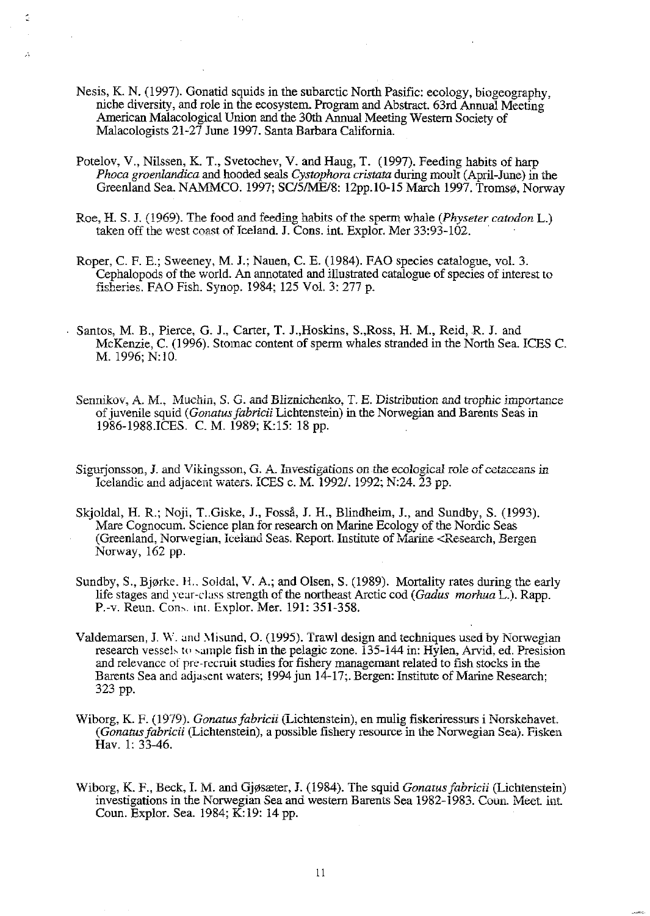Nesis, K. N. (1997). Gonatid squids in the subarctic North Pasific: ecology, biogeography, niche diversity, and role in the ecosystem. Program and Abstract. 63rd Annual Meeting American Malacological Union and the 30th Annual Meeting Western Society of Malacologists 21-27 June 1997. Santa Barbara California.

Ċ.

-A

- Potelov, V., Nilssen, K. T., Svetochev, V. and Haug, T. (1997). Feeding habits of harp *Phoca groenlandica* and hooded seals *Cystophora cristata* during moult (April-June) in the Greenland Sea. NAMMCO. 1997; SC/5/ME/8: 12pp.10-15 March 1997. Tromsø, Norway
- Roe, H. S. J. (1969). The food and feeding habits of the sperm whale *(Physeter catodon L.)* taken off the west coast of Iceland. J. Cons. int. Explor. Mer 33:93-102. .
- Roper, C. F. E.; Sweeney, M. J.; Nauen, C. E. (1984). FAO species catalogue, vol. 3. Cephalopods of the world. An annotated and illustrated catalogue of species of interest to **fisheries. FAO Fish. Synop. 1984; 125 Vol. 3: 277 p.**
- Santos, M. B., Pierce, G. J., Carter, T. J.,Hoskins, S.,Ross, H. M., Reid, R. J. and McKenzie, C. (1996). Stomac content of sperm whales stranded in the North Sea. ICES C. M. 1996; N:lO.
	- Sennikov, A. M., Muchin, S. G. and Bliznichenko, T. E. Distribution and trophic importance of juvenile squid *(Gonatus fabricii* Lichtenstein) in the Norwegian and Barents Seas in 1986-1988.ICES. C. M. 1989; K:15: 18 pp.
	- Sigurjonsson, **J**. and Vikingsson, G. A. Investigations on the ecological role of cetaceans in **Icelandic and adjacent waters. ICES c. M. 1992/. 1992; N:24. 23 pp.**
	- Skjoldal, H. R.; Noji, T. Giske, J., Fosså, J. H., Blindheim, J., and Sundby, S. (1993). Mare Cognocum. Science plan for research on Marine Ecology of the Nordic Seas (Greenland, Norwegian, Iceland Seas. Report. Institute of Marine <Research, Bergen **Norway, 162 pp.**
	- Sundby, S., Bjørke. H., Soldal, V. A.; and Olsen, S. (1989). Mortality rates during the early life stages and year-class strength of the northeast Arctic cod *(Gadus morhua L.)*. Rapp. P.-v. Reun. Cons. int. Explor. Mer. 191: 351-358.
	- Valdemarsen, J. W. and Misund, O. (1995). Trawl design and techniques used by Norwegian research vessels to sample fish in the pelagic zone. 135-144 in: Hylen, Arvid, ed. Presision and relevance of pre·rccruit studies for fishery managemant related to fish stocks in the Barents Sea and adjasent waters; 1994 jun 14-17;. Bergen: Institute of Marine Research; 323 pp.
	- Wiborg, K. F. (1979). *Gonatusfabricii* (Lichtenstein), en mulig fiskeriressurs i Norskehavei. *(Gonatusfabricii* (Lichtenstein), a possible fishery resource in the Norwegian Sea). Fisken Hav. 1: 33-46.
	- Wiborg, K. F., Beck, I. M. and Gj0sreter, J. (1984). The squid *Gonarusfabricii* (Lichiensiein) investigations in the Norwegian Sea and western Barents Sea 1982-1983. Coun. Meet. int. Coun. Explor. Sea. 1984; K: 19: 14 pp.